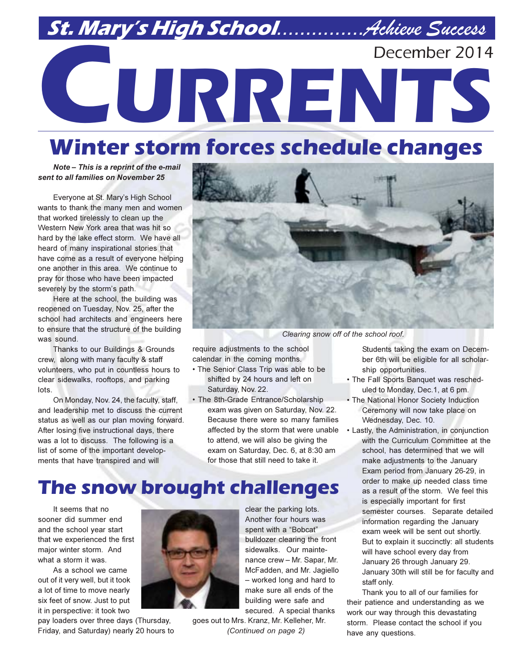# St. Mary's High School................Achieve Success December 2014 CURRENTS

# **Winter storm forces schedule changes**

Note - This is a reprint of the e-mail sent to all families on November 25

Everyone at St. Mary's High School wants to thank the many men and women that worked tirelessly to clean up the Western New York area that was hit so hard by the lake effect storm. We have all heard of many inspirational stories that have come as a result of everyone helping one another in this area. We continue to pray for those who have been impacted severely by the storm's path.

Here at the school, the building was reopened on Tuesday, Nov. 25, after the school had architects and engineers here to ensure that the structure of the building was sound.

Thanks to our Buildings & Grounds crew, along with many faculty & staff volunteers, who put in countless hours to clear sidewalks, rooftops, and parking lots.

On Monday, Nov. 24, the faculty, staff, and leadership met to discuss the current status as well as our plan moving forward. After losing five instructional days, there was a lot to discuss. The following is a list of some of the important developments that have transpired and will



Clearing snow off of the school roof.

require adjustments to the school calendar in the coming months.

- The Senior Class Trip was able to be shifted by 24 hours and left on Saturday, Nov. 22.
- The 8th-Grade Entrance/Scholarship exam was given on Saturday. Nov. 22. Because there were so many families affected by the storm that were unable to attend, we will also be giving the exam on Saturday, Dec. 6, at 8:30 am for those that still need to take it.

## **The snow brought challenges**

It seems that no sooner did summer end and the school year start that we experienced the first major winter storm. And what a storm it was.

As a school we came out of it very well, but it took a lot of time to move nearly six feet of snow. Just to put it in perspective: it took two

pay loaders over three days (Thursday, Friday, and Saturday) nearly 20 hours to



clear the parking lots. Another four hours was spent with a "Bobcat" bulldozer clearing the front sidewalks. Our maintenance crew - Mr. Sapar, Mr. McFadden, and Mr. Jagiello - worked long and hard to make sure all ends of the building were safe and secured. A special thanks

goes out to Mrs. Kranz, Mr. Kelleher, Mr. (Continued on page 2)

Students taking the exam on December 6th will be eligible for all scholarship opportunities.

- The Fall Sports Banquet was rescheduled to Monday, Dec.1, at 6 pm.
- The National Honor Society Induction Ceremony will now take place on Wednesday, Dec. 10.
- Lastly, the Administration, in conjunction with the Curriculum Committee at the school, has determined that we will make adjustments to the January Exam period from January 26-29, in order to make up needed class time as a result of the storm. We feel this is especially important for first semester courses. Separate detailed information regarding the January exam week will be sent out shortly. But to explain it succinctly: all students will have school every day from January 26 through January 29. January 30th will still be for faculty and staff only.

Thank you to all of our families for their patience and understanding as we work our way through this devastating storm. Please contact the school if you have any questions.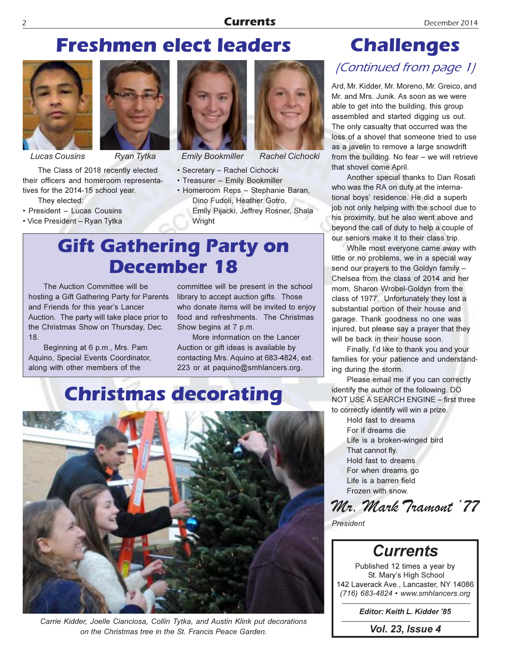## **Freshmen elect leaders**



**Lucas Cousins** 

The Class of 2018 recently elected their officers and homeroom representatives for the 2014-15 school year.

They elected:

- President Lucas Cousins
- Vice President Ryan Tytka



Ryan Tytka



**Emily Bookmiller** 

- · Secretary Rachel Cichocki
- Treasurer Emily Bookmiller
- · Homeroom Reps Stephanie Baran, Dino Fudoli, Heather Gotro, Emily Pijacki, Jeffrey Rosner, Shala Wright

**Rachel Cichocki** 

## **Gift Gathering Party on** December 18

The Auction Committee will be hosting a Gift Gathering Party for Parents and Friends for this year's Lancer Auction. The party will take place prior to the Christmas Show on Thursday, Dec.  $18.$ 

Beginning at 6 p.m., Mrs. Pam Aquino, Special Events Coordinator, along with other members of the

committee will be present in the school library to accept auction gifts. Those who donate items will be invited to enjoy food and refreshments. The Christmas Show begins at 7 p.m.

More information on the Lancer Auction or gift ideas is available by contacting Mrs. Aquino at 683-4824, ext. 223 or at paquino@smhlancers.org.

## **Christmas decorating**



Carrie Kidder, Joelle Cianciosa, Collin Tytka, and Austin Klink put decorations on the Christmas tree in the St. Francis Peace Garden.

# **Challenges**

## (Continued from page 1)

Ard, Mr. Kidder, Mr. Moreno, Mr. Greico, and Mr. and Mrs. Junik. As soon as we were able to get into the building, this group assembled and started digging us out. The only casualty that occurred was the loss of a shovel that someone tried to use as a javelin to remove a large snowdrift from the building. No fear  $-$  we will retrieve that shovel come April.

Another special thanks to Dan Rosati who was the RA on duty at the international boys' residence. He did a superb job not only helping with the school due to his proximity, but he also went above and beyond the call of duty to help a couple of our seniors make it to their class trip.

While most everyone came away with little or no problems, we in a special way send our prayers to the Goldyn family -Chelsea from the class of 2014 and her mom, Sharon Wrobel-Goldyn from the class of 1977. Unfortunately they lost a substantial portion of their house and garage. Thank goodness no one was injured, but please say a prayer that they will be back in their house soon.

Finally, I'd like to thank you and your families for your patience and understanding during the storm.

Please email me if you can correctly identify the author of the following. DO NOT USE A SEARCH ENGINE - first three to correctly identify will win a prize.

> Hold fast to dreams For if dreams die Life is a broken-winged bird That cannot fly. Hold fast to dreams For when dreams go Life is a barren field Frozen with snow

Mr. Mark Tramout '77





St. Mary's High School 142 Laverack Ave., Lancaster, NY 14086 (716) 683-4824 • www.smhlancers.org

Editor: Keith L. Kidder '85

**Vol. 23, Issue 4**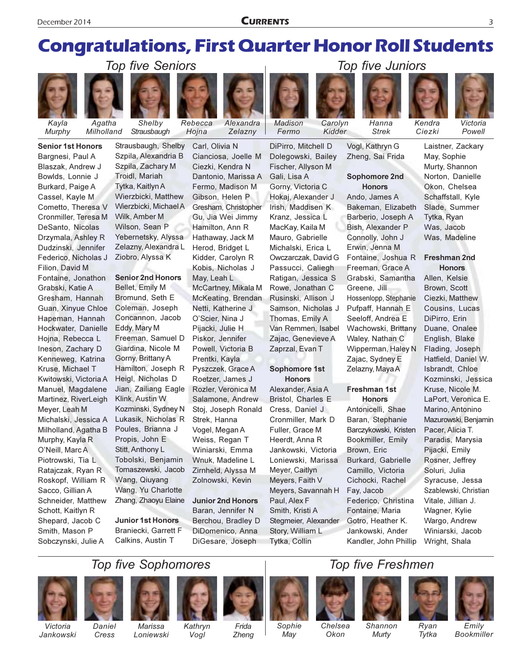## **Congratulations, First Quarter Honor Roll Students**

Alexandra

Zelaznv



Agatha Murphy Milholland

**Senior 1st Honors** 

Blaszak, Andrew J

Bowlds, Lonnie J

Burkard, Paige A

Cassel, Kayle M

Cometto, Theresa V

Cronmiller, Teresa M

DeSanto, Nicolas

Drzymala, Ashley R

Dudzinski, Jennifer

Federico, Nicholas J

Fontaine, Jonathon

Gresham, Hannah

Guan, Xinyue Chloe

Hapeman, Hannah

Hockwater, Danielle

Hojna, Rebecca L

Ineson, Zachary D

Kenneweg, Katrina

Kwitowski, Victoria A

Manuel, Magdalene

Martinez, RiverLeigh

Michalski, Jessica A

Milholland, Agatha B

Meyer, Leah M

Murphy, Kayla R

O'Neill, Marc A

Piotrowski, Tia L

Sacco, Gillian A

Schott, Kaitlyn R

Smith, Mason P

Shepard, Jacob C

Sobczynski, Julie A

Ratajczak, Ryan R

Roskopf, William R

Schneider, Matthew

Kruse, Michael T

Filion, David M

Grabski, Katie A

Bargnesi, Paul A

Shelby Strausbaugh

**Top five Seniors** 

 $Rebecca$ 

Hoina

Carl, Olivia N

Cianciosa, Joelle M

Strausbaugh, Shelby Szpila, Alexandria B

Szpila, Zachary M Troidl, Mariah Tytka, Kaitlyn A Wierzbicki, Matthew Wierzbicki, Michael A Wilk, Amber M Wilson, Sean P Yebernetsky, Alyssa Zelazny, Alexandra L Ziobro, Alyssa K

### **Senior 2nd Honors**

Bellet, Emily M Bromund, Seth E Coleman, Joseph Concannon, Jacob Eddy, Mary M Freeman, Samuel D Giardina, Nicole M Gorny, Brittany A Hamilton, Joseph R Heigl, Nicholas D Jian, Zailiang Eagle Klink, Austin W Kozminski, Sydney N Lukasik. Nicholas R Poules, Brianna J Propis, John E Stitt, Anthony L Tobolski, Benjamin Tomaszewski, Jacob Wang, Qiuyang Wang, Yu Charlotte Zhang, Zhaoyu Elaine

**Junior 1st Honors** Braniecki. Garrett F Calkins, Austin T

Ciezki, Kendra N Dantonio, Marissa A Fermo, Madison M Gibson, Helen P Gresham, Christopher Gu, Jia Wei Jimmy Hamilton, Ann R Hathaway, Jack M Herod, Bridget L Kidder, Carolyn R Kobis, Nicholas J May, Leah L McCartney, Mikala M McKeating, Brendan Netti, Katherine J O'Scier, Nina J Pijacki, Julie H Piskor, Jennifer Powell, Victoria B Prentki, Kayla Pyszczek, Grace A Roetzer, James J Rozler, Veronica M Salamone, Andrew Stoj, Joseph Ronald Strek, Hanna Vogel, Megan A Weiss, Regan T Winiarski, Emma Wnuk, Madeline L

> **Junior 2nd Honors** Baran, Jennifer N Berchou, Bradley D DiDomenico, Anna DiGesare, Joseph

Zirnheld, Alyssa M

Zolnowski, Kevin

DiPirro, Mitchell D Dolegowski, Bailey Fischer, Allyson M Gali, Lisa A Gorny, Victoria C Hokaj, Alexander J Irish, Maddisen K Kranz, Jessica L MacKay, Kaila M Mauro, Gabrielle Michalski, Erica L Owczarczak, David G Passucci, Caliegh Ratigan, Jessica S Rowe, Jonathan C Rusinski, Allison J Samson, Nicholas J Thomas, Emily A Van Remmen, Isabel Zajac, Genevieve A

Madison

Fermo

Carolvn

Kidder

### Sophomore 1st **Honors**

Zaprzal, Evan T

Alexander, Asia A Bristol, Charles E Cress, Daniel J Cronmiller, Mark D Fuller, Grace M Heerdt, Anna R Jankowski, Victoria Loniewski, Marissa Meyer, Caitlyn Meyers, Faith V Meyers, Savannah H Paul, Alex F Smith, Kristi A Stegmeier, Alexander Story, William L Tytka, Collin

Vogl, Kathryn G Zheng, Sai Frida

Hanna

**Strek** 

Top five Juniors

### Sophomore 2nd **Honors**

Ando, James A Bakeman, Elizabeth Barberio, Joseph A Bish, Alexander P Connolly, John J Erwin, Jenna M Fontaine, Joshua R Freeman, Grace A Grabski, Samantha Greene, Jill Hossenlopp, Stephanie Pufpaff, Hannah E Seeloff, Andrea E Wachowski, Brittany Waley, Nathan C Wipperman, Haley N Zajac, Sydney E Zelazny, Maya A

#### **Freshman 1st Honors**

Antonicelli, Shae Baran, Stephanie Barczykowski, Kristen Bookmiller, Emily Brown, Eric Burkard, Gabrielle Camillo, Victoria Cichocki, Rachel Fay, Jacob Federico, Christina Fontaine, Maria Gotro, Heather K. Jankowski, Ander Kandler, John Phillip Laistner, Zackary

### Freshman 2nd **Honors**

Allen, Kelsie Brown, Scott Ciezki, Matthew Cousins, Lucas DiPirro, Erin Duane, Onalee English, Blake Flading, Joseph Hatfield, Daniel W. Isbrandt, Chloe Kozminski, Jessica Kruse, Nicole M. LaPort, Veronica E. Marino, Antonino Mazurowski, Benjamin Pacer, Alicia T. Paradis, Marysia Pijacki, Emily Rosner, Jeffrey Soluri, Julia Syracuse, Jessa Szablewski, Christian Vitale, Jillian J. Wagner, Kylie Wargo, Andrew Winiarski, Jacob Wright, Shala

## **Top five Sophomores**





















Ryan

Tytka



Victoria Jankowski

Daniel Cress

Marissa Loniewski

Kathryn Vogl

Frida Zheng

Sophie May

Chelsea Okon

Shannon Murty

Emily Bookmiller

### May, Sophie Murty, Shannon Norton, Danielle Okon, Chelsea Schaffstall, Kyle Slade, Summer Tytka, Ryan Was, Jacob Was, Madeline

Kendra

Ciezki



Victoria

Powell

3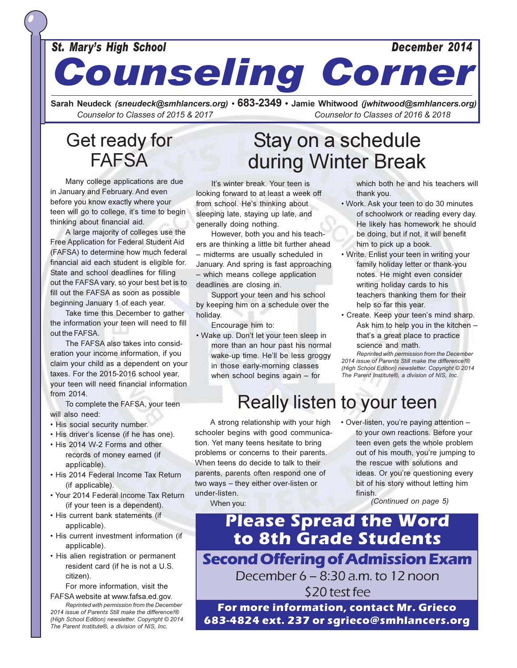### **St. Mary's High School**

# **Counseling Corner**

Sarah Neudeck (sneudeck@smhlancers.org) • 683-2349 • Jamie Whitwood (jwhitwood@smhlancers.org) Counselor to Classes of 2015 & 2017 Counselor to Classes of 2016 & 2018

## Get ready for **FAFSA**

Many college applications are due in January and February. And even before you know exactly where your teen will go to college, it's time to begin thinking about financial aid.

A large majority of colleges use the Free Application for Federal Student Aid (FAFSA) to determine how much federal financial aid each student is eligible for. State and school deadlines for filling out the FAFSA vary, so your best bet is to fill out the FAFSA as soon as possible beginning January 1 of each year.

Take time this December to gather the information your teen will need to fill out the FAFSA.

The FAFSA also takes into consideration your income information, if you claim your child as a dependent on your taxes. For the 2015-2016 school year, your teen will need financial information from 2014.

To complete the FAFSA, your teen will also need:

- His social security number.
- . His driver's license (if he has one).
- . His 2014 W-2 Forms and other records of money earned (if applicable).
- His 2014 Federal Income Tax Return (if applicable).
- Your 2014 Federal Income Tax Return (if your teen is a dependent).
- His current bank statements (if applicable).
- His current investment information (if applicable).
- His alien registration or permanent resident card (if he is not a U.S. citizen).

For more information, visit the FAFSA website at www.fafsa.ed.gov.

Reprinted with permission from the December 2014 issue of Parents Still make the difference!® (High School Edition) newsletter. Copyright © 2014 The Parent Institute®, a division of NIS, Inc.

## Stay on a schedule during Winter Break

It's winter break. Your teen is looking forward to at least a week off from school. He's thinking about sleeping late, staying up late, and generally doing nothing.

However, both you and his teachers are thinking a little bit further ahead - midterms are usually scheduled in January. And spring is fast approaching - which means college application deadlines are closing in.

Support your teen and his school by keeping him on a schedule over the holidav.

- Encourage him to:
- Wake up. Don't let your teen sleep in more than an hour past his normal wake-up time. He'll be less groggy in those early-morning classes when school begins again - for

which both he and his teachers will thank you.

December 2014

- Work. Ask your teen to do 30 minutes of schoolwork or reading every day. He likely has homework he should be doing, but if not, it will benefit him to pick up a book.
- Write. Enlist your teen in writing your family holiday letter or thank-you notes. He might even consider writing holiday cards to his teachers thanking them for their help so far this year.
- Create. Keep your teen's mind sharp. Ask him to help you in the kitchen that's a great place to practice science and math.

Reprinted with permission from the December 2014 issue of Parents Still make the difference!® (High School Edition) newsletter. Copyright © 2014 The Parent Institute®, a division of NIS, Inc.

## **Really listen to your teen**

A strong relationship with your high schooler begins with good communication. Yet many teens hesitate to bring problems or concerns to their parents. When teens do decide to talk to their parents, parents often respond one of two ways - they either over-listen or under-listen.

When you:

• Over-listen, you're paying attention to your own reactions. Before your teen even gets the whole problem out of his mouth, you're jumping to the rescue with solutions and ideas. Or you're questioning every bit of his story without letting him finish

(Continued on page 5)

**Please Spread the Word** to 8th Grade Students **Second Offering of Admission Exam** December 6 - 8:30 a.m. to 12 noon \$20 test fee

For more information, contact Mr. Grieco 683-4824 ext. 237 or sgrieco@smhlancers.org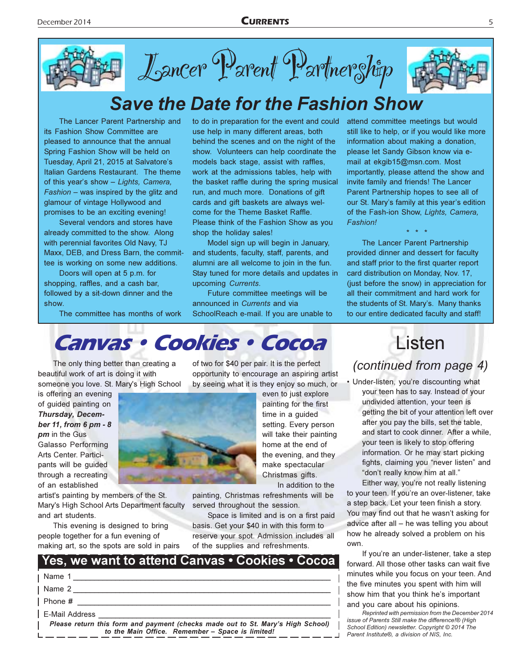

# **Save the Date for the Fashion Show**

The Lancer Parent Partnership and its Fashion Show Committee are pleased to announce that the annual Spring Fashion Show will be held on Tuesday, April 21, 2015 at Salvatore's Italian Gardens Restaurant. The theme of this year's show - Lights, Camera,  $F$ ashion – was inspired by the glitz and glamour of vintage Hollywood and promises to be an exciting evening!

Several vendors and stores have already committed to the show. Along with perennial favorites Old Navy. TJ Maxx, DEB, and Dress Barn, the committee is working on some new additions.

Doors will open at 5 p.m. for shopping, raffles, and a cash bar, followed by a sit-down dinner and the show.

The committee has months of work

to do in preparation for the event and could use help in many different areas, both behind the scenes and on the night of the show. Volunteers can help coordinate the models back stage, assist with raffles, work at the admissions tables, help with the basket raffle during the spring musical run, and much more. Donations of gift cards and gift baskets are always welcome for the Theme Basket Raffle. Please think of the Fashion Show as you shop the holiday sales!

Model sign up will begin in January. and students, faculty, staff, parents, and alumni are all welcome to join in the fun. Stay tuned for more details and updates in upcoming Currents.

Future committee meetings will be announced in Currents and via SchoolReach e-mail. If you are unable to attend committee meetings but would still like to help, or if you would like more information about making a donation, please let Sandy Gibson know via email at ekgib15@msn.com. Most importantly, please attend the show and invite family and friends! The Lancer Parent Partnership hopes to see all of our St. Mary's family at this year's edition of the Fash-ion Show, Lights, Camera, Fashion!

5

The Lancer Parent Partnership provided dinner and dessert for faculty and staff prior to the first quarter report card distribution on Monday, Nov. 17, (just before the snow) in appreciation for all their commitment and hard work for the students of St. Mary's. Many thanks to our entire dedicated faculty and staff!

## Canvas · Cookies · Cocoa

The only thing better than creating a beautiful work of art is doing it with someone you love. St. Mary's High School

is offering an evening of guided painting on Thursday, December 11, from 6 pm - 8 **pm** in the Gus **Galasso Performing** Arts Center. Participants will be guided through a recreating of an established

artist's painting by members of the St. Mary's High School Arts Department faculty and art students.

This evening is designed to bring people together for a fun evening of making art, so the spots are sold in pairs of two for \$40 per pair. It is the perfect opportunity to encourage an aspiring artist by seeing what it is they enjoy so much, or

> home at the end of the evening, and they make spectacular Christmas gifts.

In addition to the painting, Christmas refreshments will be

served throughout the session.

Space is limited and is on a first paid basis. Get your \$40 in with this form to reserve your spot. Admission includes all of the supplies and refreshments

| $\sim$ . The contract and the second contract of the contract of the second contract of the contract of the contract of the contract of the contract of the contract of the contract of the contract of the contract of the con |
|---------------------------------------------------------------------------------------------------------------------------------------------------------------------------------------------------------------------------------|
| Yes, we want to attend Canvas • Cookies • Cocoa                                                                                                                                                                                 |
| I Name 1                                                                                                                                                                                                                        |
| Name 2                                                                                                                                                                                                                          |
| Phone #                                                                                                                                                                                                                         |
| E-Mail Address                                                                                                                                                                                                                  |
| Please return this form and payment (checks made out to St. Mary's High School)  <br>to the Main Office. Remember - Space is limited!                                                                                           |

## Listen

(continued from page 4)

• Under-listen, you're discounting what your teen has to say. Instead of your undivided attention, your teen is getting the bit of your attention left over after you pay the bills, set the table, and start to cook dinner. After a while, your teen is likely to stop offering information. Or he may start picking fights, claiming you "never listen" and "don't really know him at all."

Either way, you're not really listening to your teen. If you're an over-listener, take a step back. Let your teen finish a story. You may find out that he wasn't asking for advice after all - he was telling you about how he already solved a problem on his own.

If you're an under-listener, take a step forward. All those other tasks can wait five minutes while you focus on your teen. And the five minutes you spent with him will show him that you think he's important and you care about his opinions.

Reprinted with permission from the December 2014 issue of Parents Still make the difference!® (High School Edition) newsletter. Copyright © 2014 The Parent Institute®, a division of NIS, Inc.

time in a guided

even to just explore painting for the first setting. Every person will take their painting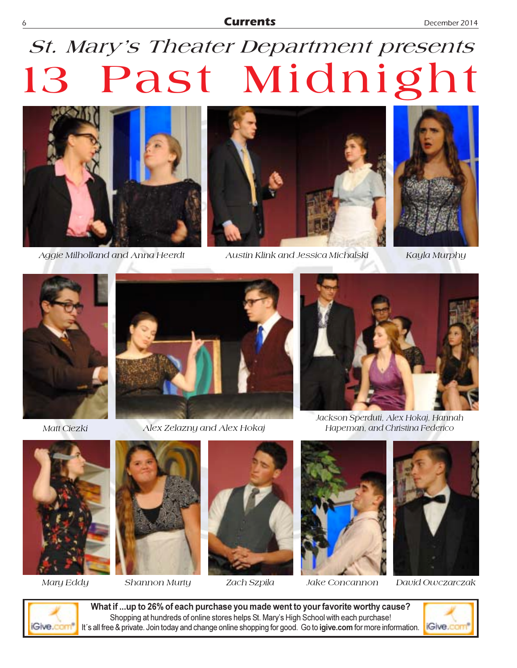### **Currents**

# St. Mary's Theater Department presents 13 Past Midnight



Aggie Milholland and Anna Heerdt



Austin Klink and Jessica Michalski



Kayla Murphy



Matt Ciezki



Alex Zelazny and Alex Hokaj



Jackson Sperduti, Alex Hokaj, Hannah Hapeman, and Christina Federico



Mary Eddy



Shannon Murty



Zach Szpila



Jake Concannon



David Owczarczak



What if ...up to 26% of each purchase you made went to your favorite worthy cause? Shopping at hundreds of online stores helps St. Mary's High School with each purchase! It's all free & private. Join today and change online shopping for good. Go to igive.com for more information.

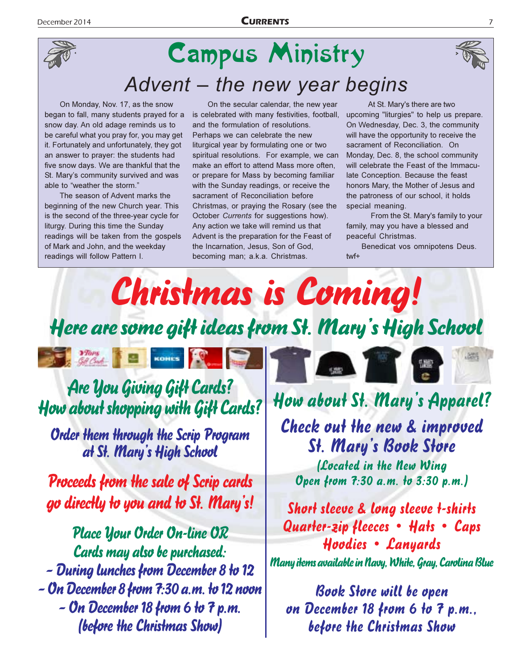

# **Campus Ministry** Advent - the new year begins

On Monday, Nov. 17, as the snow began to fall, many students prayed for a snow day. An old adage reminds us to be careful what you pray for, you may get it. Fortunately and unfortunately, they got an answer to prayer: the students had five snow days. We are thankful that the St. Mary's community survived and was able to "weather the storm."

The season of Advent marks the beginning of the new Church year. This is the second of the three-year cycle for liturgy. During this time the Sunday readings will be taken from the gospels of Mark and John, and the weekday readings will follow Pattern I.

**The Month of Bank** 

On the secular calendar, the new year is celebrated with many festivities, football, and the formulation of resolutions. Perhaps we can celebrate the new liturgical year by formulating one or two spiritual resolutions. For example, we can make an effort to attend Mass more often, or prepare for Mass by becoming familiar with the Sunday readings, or receive the sacrament of Reconciliation before Christmas, or praying the Rosary (see the October Currents for suggestions how). Any action we take will remind us that Advent is the preparation for the Feast of the Incarnation, Jesus, Son of God, becoming man; a.k.a. Christmas.

At St. Mary's there are two upcoming "liturgies" to help us prepare. On Wednesday, Dec. 3, the community will have the opportunity to receive the sacrament of Reconciliation. On Monday, Dec. 8, the school community will celebrate the Feast of the Immaculate Conception. Because the feast honors Mary, the Mother of Jesus and the patroness of our school, it holds special meaning.

From the St. Mary's family to your family, may you have a blessed and peaceful Christmas.

Benedicat vos omnipotens Deus. twf+

Christmas is Coming! Here are some gift ideas from St. Mary's High School

Are you Giving Gift Cards? How about shopping with Gift Cards?

KOHES

**Order them through the Scrip Program** at St. Mary's High School

**Proceeds from the sale of Scrip cards** go directly to you and to St. Mary's!

**Place Your Order On-line OR** Cards may also be purchased: - During lunches from December 8 to 12 - On December 8 from 7:30 a.m. to 12 noon – On December 18 from 6 to 7 p.m. (before the Christmas Show)

How about St. Mary's Apparel?

Check out the new & improved **St. Mary's Book Store** 

(Located in the New Wing Open from 7:30 a.m. to 3:30 p.m.)

Short sleeve & long sleeve t-shirts Quarter-zip fleeces • Hats • Caps Hoodies • Lanyards Many items available in Navy, White, Gray, Carolina Blue

**Book Store will be open** on December 18 from 6 to 7 p.m., before the Christmas Show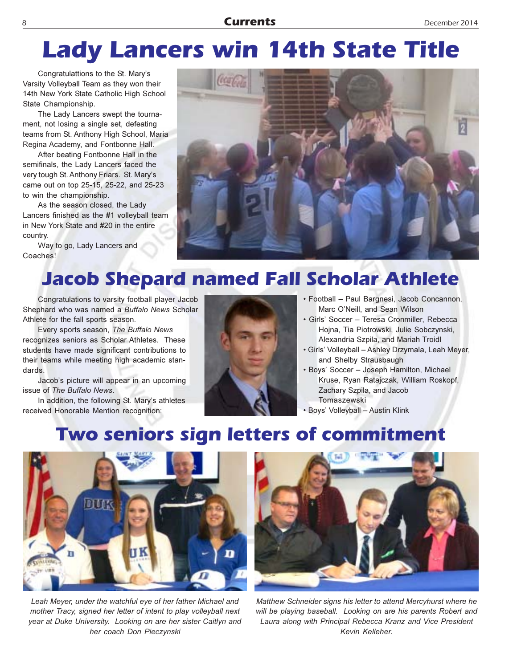# **Lady Lancers win 14th State Title**

Congratulattions to the St. Mary's Varsity Volleyball Team as they won their 14th New York State Catholic High School State Championship.

The Lady Lancers swept the tournament, not losing a single set, defeating teams from St. Anthony High School, Maria Regina Academy, and Fontbonne Hall.

After beating Fontbonne Hall in the semifinals, the Lady Lancers faced the very tough St. Anthony Friars. St. Mary's came out on top 25-15, 25-22, and 25-23 to win the championship.

As the season closed, the Lady Lancers finished as the #1 volleyball team in New York State and #20 in the entire country.

Way to go, Lady Lancers and Coaches!



## **Jacob Shepard named Fall Scholar Athlete**

Congratulations to varsity football player Jacob Shephard who was named a Buffalo News Scholar Athlete for the fall sports season.

Every sports season, The Buffalo News recognizes seniors as Scholar Athletes. These students have made significant contributions to their teams while meeting high academic standards.

Jacob's picture will appear in an upcoming issue of The Buffalo News.

In addition, the following St. Mary's athletes received Honorable Mention recognition:



- · Football Paul Bargnesi, Jacob Concannon, Marc O'Neill, and Sean Wilson
- · Girls' Soccer Teresa Cronmiller, Rebecca Hojna, Tia Piotrowski, Julie Sobczynski, Alexandria Szpila, and Mariah Troidl
- · Girls' Volleyball Ashley Drzymala, Leah Meyer, and Shelby Strausbaugh
- · Boys' Soccer Joseph Hamilton, Michael Kruse, Ryan Ratajczak, William Roskopf, Zachary Szpila, and Jacob Tomaszewski
- · Boys' Volleyball Austin Klink

## Two seniors sign letters of commitment



Leah Meyer, under the watchful eye of her father Michael and mother Tracy, signed her letter of intent to play volleyball next year at Duke University. Looking on are her sister Caitlyn and her coach Don Pieczynski



Matthew Schneider signs his letter to attend Mercyhurst where he will be playing baseball. Looking on are his parents Robert and Laura along with Principal Rebecca Kranz and Vice President Kevin Kelleher.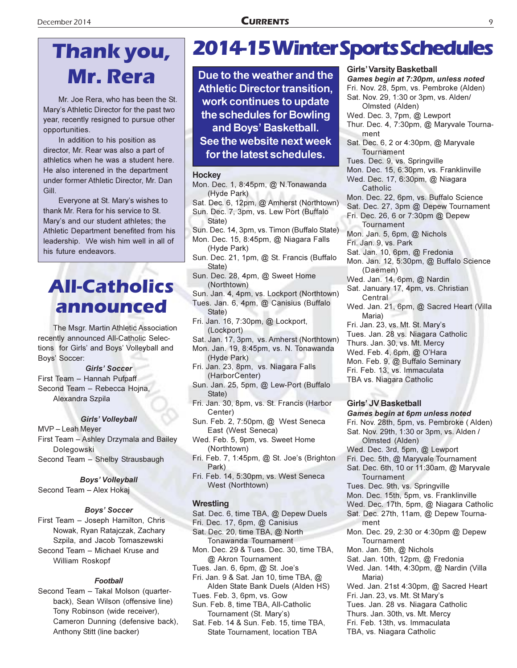# Thank you, Mr. Rera

Mr. Joe Rera, who has been the St. Mary's Athletic Director for the past two year, recently resigned to pursue other opportunities.

In addition to his position as director, Mr. Rear was also a part of athletics when he was a student here. He also interened in the department under former Athletic Director, Mr. Dan Gill.

Everyone at St. Mary's wishes to thank Mr. Rera for his service to St. Mary's and our student athletes; the Athletic Department benefited from his leadership. We wish him well in all of his future endeavors.

## **All-Catholics** announced

The Msgr. Martin Athletic Association recently announced All-Catholic Selections for Girls' and Boys' Volleyball and Boys' Soccer:

### **Girls' Soccer**

First Team - Hannah Pufpaff Second Team - Rebecca Hojna, Alexandra Szpila

### Girls' Volleyball

MVP-Leah Meyer First Team - Ashley Drzymala and Bailey Dolegowski Second Team - Shelby Strausbaugh

### **Boys' Volleyball**

Second Team - Alex Hokaj

### **Boys' Soccer**

First Team - Joseph Hamilton, Chris Nowak, Ryan Ratajczak, Zachary Szpila, and Jacob Tomaszewski Second Team - Michael Kruse and William Roskopf

### **Football**

Second Team - Takal Molson (quarterback), Sean Wilson (offensive line) Tony Robinson (wide receiver), Cameron Dunning (defensive back), Anthony Stitt (line backer)

## **2014-15 Winter Sports Schedules**

Due to the weather and the **Athletic Director transition.** work continues to update the schedules for Bowling and Boys' Basketball. See the website next week for the latest schedules.

### **Hockey**

- Mon. Dec. 1, 8:45pm, @ N.Tonawanda (Hyde Park)
- Sat. Dec. 6, 12pm, @ Amherst (Northtown)
- Sun. Dec. 7, 3pm, vs. Lew Port (Buffalo
- State) Sun. Dec. 14, 3pm, vs. Timon (Buffalo State)
- Mon. Dec. 15, 8:45pm, @ Niagara Falls (Hyde Park)
- Sun. Dec. 21, 1pm, @ St. Francis (Buffalo State)
- Sun. Dec. 28, 4pm, @ Sweet Home (Northtown)
- Sun. Jan. 4, 4pm, vs. Lockport (Northtown)
- Tues. Jan. 6, 4pm, @ Canisius (Buffalo
- State) Fri. Jan. 16, 7:30pm, @ Lockport, (Lockport)
- Sat. Jan. 17, 3pm, vs. Amherst (Northtown)
- Mon. Jan. 19, 8:45pm, vs. N. Tonawanda (Hyde Park)
- Fri. Jan. 23, 8pm, vs. Niagara Falls (HarborCenter)
- Sun. Jan. 25, 5pm, @ Lew-Port (Buffalo State)
- Fri. Jan. 30, 8pm, vs. St. Francis (Harbor Center)
- Sun. Feb. 2, 7:50pm, @ West Seneca East (West Seneca)
- Wed. Feb. 5, 9pm, vs. Sweet Home (Northtown)
- Fri. Feb. 7, 1:45pm, @ St. Joe's (Brighton Park)
- Fri. Feb. 14, 5:30pm, vs. West Seneca West (Northtown)

### Wrestling

- Sat. Dec. 6, time TBA, @ Depew Duels
- Fri. Dec. 17, 6pm, @ Canisius Sat. Dec. 20, time TBA, @ North Tonawanda Tournament
- Mon. Dec. 29 & Tues. Dec. 30, time TBA, @ Akron Tournament
- Tues. Jan. 6, 6pm, @ St. Joe's
- Fri. Jan. 9 & Sat. Jan 10, time TBA, @ Alden State Bank Duels (Alden HS)
- Tues. Feb. 3, 6pm, vs. Gow Sun. Feb. 8, time TBA, All-Catholic Tournament (St. Mary's)
- Sat. Feb. 14 & Sun. Feb. 15, time TBA, State Tournament, location TBA

### **Girls' Varsity Basketball**

Games begin at 7:30pm, unless noted Fri. Nov. 28, 5pm, vs. Pembroke (Alden) Sat. Nov. 29, 1:30 or 3pm, vs. Alden/ Olmsted (Alden) Wed. Dec. 3, 7pm, @ Lewport Thur. Dec. 4, 7:30pm, @ Maryvale Tournament Sat. Dec. 6, 2 or 4:30pm, @ Maryvale Tournament Tues. Dec. 9, vs. Springville Mon. Dec. 15, 6:30pm, vs. Franklinville Wed. Dec. 17, 6:30pm, @ Niagara Catholic Mon. Dec. 22, 6pm, vs. Buffalo Science Sat. Dec. 27, 3pm @ Depew Tournament Fri. Dec. 26, 6 or 7:30pm @ Depew Tournament Mon. Jan. 5, 6pm, @ Nichols Fri. Jan. 9, vs. Park Sat. Jan. 10, 6pm, @ Fredonia Mon. Jan. 12, 5:30pm, @ Buffalo Science (Daemen) Wed. Jan. 14, 6pm, @ Nardin Sat. January 17, 4pm, vs. Christian Central Wed. Jan. 21, 6pm, @ Sacred Heart (Villa Maria) Fri. Jan. 23, vs. Mt. St. Mary's Tues. Jan. 28 vs. Niagara Catholic Thurs. Jan. 30, vs. Mt. Mercy Wed. Feb. 4, 6pm, @ O'Hara Mon. Feb. 9, @ Buffalo Seminary Fri. Feb. 13, vs. Immaculata TBA vs. Niagara Catholic **Girls' JV Basketball** Games begin at 6pm unless noted Fri. Nov. 28th, 5pm, vs. Pembroke (Alden)

- Sat. Nov. 29th, 1:30 or 3pm, vs. Alden /
	- Olmsted (Alden)
- Wed. Dec. 3rd, 5pm, @ Lewport
- Fri. Dec. 5th, @ Maryvale Tournament Sat. Dec. 6th, 10 or 11:30am, @ Maryvale Tournament
- Tues. Dec. 9th, vs. Springville
- Mon. Dec. 15th, 5pm, vs. Franklinville
- Wed. Dec. 17th, 5pm, @ Niagara Catholic
- Sat. Dec. 27th, 11am, @ Depew Tournament
- Mon. Dec. 29, 2:30 or 4:30pm @ Depew Tournament
- Mon. Jan. 5th, @ Nichols
- Sat. Jan. 10th, 12pm, @ Fredonia
- Wed. Jan. 14th, 4:30pm, @ Nardin (Villa Maria)
- Wed. Jan. 21st 4:30pm, @ Sacred Heart
- Fri. Jan. 23, vs. Mt. St Mary's
- Tues. Jan. 28 vs. Niagara Catholic
- Thurs. Jan. 30th, vs. Mt. Mercy
- Fri. Feb. 13th, vs. Immaculata
- TBA, vs. Niagara Catholic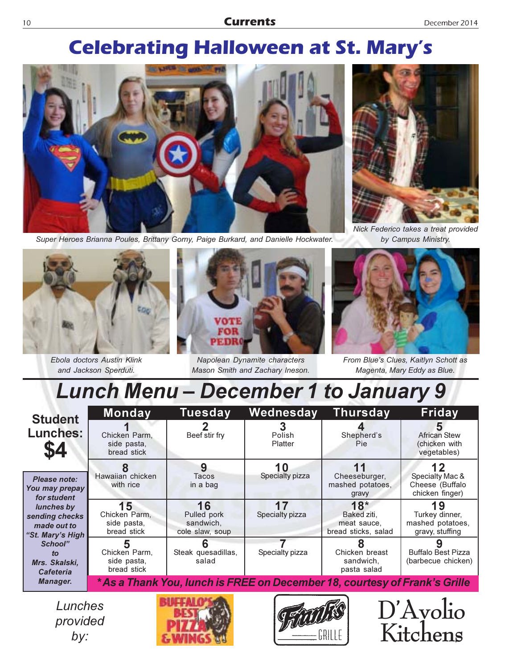## **Celebrating Halloween at St. Mary's**



Super Heroes Brianna Poules, Brittany Gorny, Paige Burkard, and Danielle Hockwater.



Nick Federico takes a treat provided by Campus Ministry.



10

Ebola doctors Austin Klink and Jackson Sperduti.



Napolean Dynamite characters Mason Smith and Zachary Ineson.



From Blue's Clues, Kaitlyn Schott as Magenta, Mary Eddy as Blue.

 $D'Avolio$ 

Kitchens

# **Lunch Menu - December 1 to January 9**

| <b>Student</b><br><b>Lunches:</b><br>\$4                                                                                                                                           | <b>Monday</b>                                                              | Tuesday                                           | Wednesday             | <b>Thursday</b>                                            | Friday                                                      |  |  |
|------------------------------------------------------------------------------------------------------------------------------------------------------------------------------------|----------------------------------------------------------------------------|---------------------------------------------------|-----------------------|------------------------------------------------------------|-------------------------------------------------------------|--|--|
|                                                                                                                                                                                    | Chicken Parm.<br>side pasta,<br>bread stick                                | Beef stir fry                                     | Polish<br>Platter     | Shepherd's<br>Pie:                                         | <b>African Stew</b><br>(chicken with<br>vegetables)         |  |  |
| Please note:<br>You may prepay<br>for student<br>lunches by<br>sending checks<br>made out to<br>"St. Mary's High<br>School"<br>to<br>Mrs. Skalski,<br><b>Cafeteria</b><br>Manager. | Hawaiian chicken<br>with rice                                              | 9<br>Tacos<br>in a bag                            | Specialty pizza       | Cheeseburger,<br>mashed potatoes,<br>gravy                 | Specialty Mac &<br>Cheese (Buffalo<br>chicken finger)       |  |  |
|                                                                                                                                                                                    | 15<br>Chicken Parm,<br>side pasta,<br>bread stick                          | 16<br>Pulled pork<br>sandwich,<br>cole slaw, soup | 17<br>Specialty pizza | $18*$<br>Baked ziti.<br>meat sauce.<br>bread sticks, salad | 19<br>Turkey dinner,<br>mashed potatoes.<br>gravy, stuffing |  |  |
|                                                                                                                                                                                    | Chicken Parm,<br>side pasta,<br>bread stick                                | Steak quesadillas,<br>salad                       | Specialty pizza       | Chicken breast<br>sandwich,<br>pasta salad                 | <b>Buffalo Best Pizza</b><br>(barbecue chicken)             |  |  |
|                                                                                                                                                                                    | * As a Thank You, lunch is FREE on December 18, courtesy of Frank's Grille |                                                   |                       |                                                            |                                                             |  |  |

Lunches provided  $by:$ 



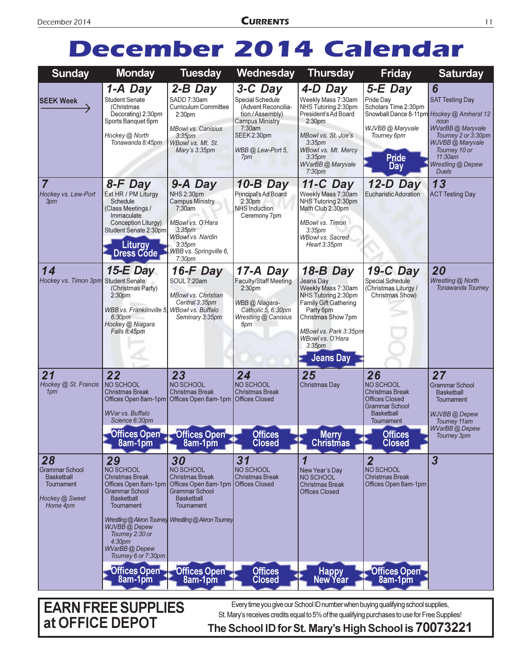# December 2014 Calendar

| <b>Sunday</b>                                                                                | <b>Monday</b>                                                                                                                                                                                                                                                                        | <b>Tuesday</b>                                                                                                                                                                           | Wednesday                                                                                                                                             | <b>Thursday</b>                                                                                                                                                                                                                       | <b>Friday</b>                                                                                                                                                     | <b>Saturday</b>                                                                                                                                                    |
|----------------------------------------------------------------------------------------------|--------------------------------------------------------------------------------------------------------------------------------------------------------------------------------------------------------------------------------------------------------------------------------------|------------------------------------------------------------------------------------------------------------------------------------------------------------------------------------------|-------------------------------------------------------------------------------------------------------------------------------------------------------|---------------------------------------------------------------------------------------------------------------------------------------------------------------------------------------------------------------------------------------|-------------------------------------------------------------------------------------------------------------------------------------------------------------------|--------------------------------------------------------------------------------------------------------------------------------------------------------------------|
| <b>SEEK Week</b>                                                                             | 1-A Day<br><b>Student Senate</b><br>(Christmas<br>Decorating) 2:30pm<br>Sports Banquet 6pm<br>Hockey @ North<br>Tonawanda 8:45pm                                                                                                                                                     | 2-B Day<br>SADD 7:30am<br>Curriculum Committee<br>2:30 <sub>pm</sub><br><b>MBowl vs. Canisius</b><br>3:35 <sub>pm</sub><br>WBowl vs. Mt. St.<br>Mary's 3:35pm                            | 3-C Day<br>Special Schedule<br>(Advent Reconcilia-<br>tion / Assembly)<br><b>Campus Ministry</b><br>7:30am<br>SEEK 2:30pm<br>WBB @ Lew-Port 5.<br>7pm | 4-D Day<br>Weekly Mass 7:30am<br>NHS Tutoring 2:30pm<br>President's Ad Board<br>2:30 <sub>pm</sub><br>MBowl vs. St. Joe's<br>3:35 <sub>pm</sub><br>WBowl vs. Mt. Mercy<br>3:35 <sub>pm</sub><br>WVarBB@Maryvale<br>7:30 <sub>pm</sub> | 5-E Day<br>Pride Day<br>Scholars Time 2:30pm<br>Snowball Dance 8-11pm Hockey @ Amherst 12<br>WJVBB @ Maryvale<br>Tourney 6pm<br><b>Pride</b><br>Day               | 6<br><b>SAT Testing Day</b><br>noon<br>WVarBB@Maryvale<br>Tourney 2 or 3:30pm<br>WJVBB @ Maryvale<br>Tourney 10 or<br>11:30am<br>Wrestling @ Depew<br><b>Duels</b> |
| $\overline{7}$<br>Hockey vs. Lew-Port<br>3pm                                                 | 8-F Day<br>Ext HR / PM Liturgy<br>Schedule<br>(Class Meetings /<br>Immaculate<br>Conception Liturgy)<br>Student Senate 2:30pm<br><b>Liturgy</b><br><b>Dress Code</b>                                                                                                                 | 9-A Day<br>NHS 2:30pm<br><b>Campus Ministry</b><br>7:30am<br>MBowl vs. O'Hara<br>3:35 <sub>pm</sub><br><b>WBowl vs. Nardin</b><br>3:35 <sub>pm</sub><br>WBB vs. Springville 6,<br>7:30pm | $10-B$ Day<br>Principal's Ad Board<br>2:30 <sub>pm</sub><br><b>NHS Induction</b><br>Ceremony 7pm                                                      | 11-C Day<br>Weekly Mass 7:30am<br>NHS Tutoring 2:30pm<br>Math Club 2:30pm<br>MBowl vs. Timon<br>3:35 <sub>pm</sub><br>WBowl vs. Sacred<br>Heart 3:35pm                                                                                | 12-D Day<br>Eucharistic Adoration                                                                                                                                 | 13<br><b>ACT Testing Day</b>                                                                                                                                       |
| 14<br>Hockey vs. Timon 3pm Student Senate                                                    | 15- $E$ Day<br>(Christmas Party)<br>2:30 <sub>pm</sub><br>WBB vs. Franklinville 5, WBowl vs. Buffalo<br>6:30pm<br>Hockey @ Niagara<br>Falls 8:45pm                                                                                                                                   | 16-F Day<br>SOUL 7:20am<br><b>MBowl vs. Christian</b><br>Central 3:35pm<br>Seminary 3:35pm                                                                                               | 17-A Day<br>Faculty/Staff Meeting<br>2:30 <sub>pm</sub><br>WBB @ Niagara-<br>Catholic 5, 6:30pm<br>Wrestling @ Canisius<br>6pm                        | 18-B Day<br>Jeans Day<br>Weekly Mass 7:30am<br>NHS Tutoring 2:30pm<br><b>Family Gift Gathering</b><br>Party 6pm<br>Christmas Show 7pm<br>MBowl vs. Park 3:35pm<br>WBowl vs. O'Hara<br>$3:35$ pm<br><b>Jeans Day</b>                   | 19-C Day<br><b>Special Schedule</b><br>(Christmas Liturgy /<br>Christmas Show)                                                                                    | 20<br>Wrestling @ North<br>Tonawanda Tourney                                                                                                                       |
| 21<br>Hockey @ St. Francis<br>1pm                                                            | 22<br>NO SCHOOL<br><b>Christmas Break</b><br>Offices Open 8am-1pm<br><b>WVar vs. Buffalo</b><br>Science 6:30pm<br>8am-1pm                                                                                                                                                            | 23<br><b>NO SCHOOL</b><br><b>Christmas Break</b><br>Offices Open 8am-1pm   Offices Closed<br>Offices Open Offices Open<br>8am-1pm                                                        | 24<br><b>NO SCHOOL</b><br><b>Christmas Break</b><br><b>Offices</b><br><b>Closed</b>                                                                   | 25<br><b>Christmas Day</b><br><b>Merry</b><br><b>Christmas</b>                                                                                                                                                                        | 26<br>NO SCHOOL<br><b>Christmas Break</b><br><b>Offices Closed</b><br><b>Grammar School</b><br><b>Basketball</b><br>Tournament<br><b>Offices</b><br><b>Closed</b> | 27<br><b>Grammar School</b><br><b>Basketball</b><br>Tournament<br>WJVBB @ Depew<br>Tourney 11am<br><b>WVarBB</b> @ Depew<br>Tourney 3pm                            |
| 28<br><b>Grammar School</b><br><b>Basketball</b><br>Tournament<br>Hockey @ Sweet<br>Home 4pm | 29<br>NO SCHOOL<br><b>Christmas Break</b><br>Offices Open 8am-1pm<br><b>Grammar School</b><br><b>Basketball</b><br>Tournament<br>Wrestling @ Akron Tourney<br>WJVBB @ Depew<br>Tourney 2:30 or<br>4:30 <sub>pm</sub><br><b>WVarBB</b> @ Depew<br>Tourney 6 or 7:30pm<br>Offices Open | 30<br><b>NO SCHOOL</b><br><b>Christmas Break</b><br>Offices Open 8am-1pm<br><b>Grammar School</b><br><b>Basketball</b><br><b>Tournament</b><br>Wrestling @ Akron Tourney<br>Offices Open | 31<br>NO SCHOOL<br><b>Christmas Break</b><br><b>Offices Closed</b><br><b>Offices</b>                                                                  | New Year's Day<br>NO SCHOOL<br><b>Christmas Break</b><br><b>Offices Closed</b><br>Happy<br>New Year                                                                                                                                   | $\overline{2}$<br>NO SCHOOL<br><b>Christmas Break</b><br>Offices Open 8am-1pm<br>Offices Open                                                                     | $\overline{3}$                                                                                                                                                     |
|                                                                                              | 8am-1pm                                                                                                                                                                                                                                                                              | 8am-1pm                                                                                                                                                                                  | <b>Closed</b>                                                                                                                                         |                                                                                                                                                                                                                                       | 8am-1pm                                                                                                                                                           |                                                                                                                                                                    |

## EARN FREE SUPPLIES at OFFICE DEPOT  $_{\rm The}$

Every time you give our School ID number when buying qualifying school supplies, St. Mary's receives credits equal to 5% of the qualifying purchases to use for Free Supplies!

## School ID for St. Mary's High School is 70073221